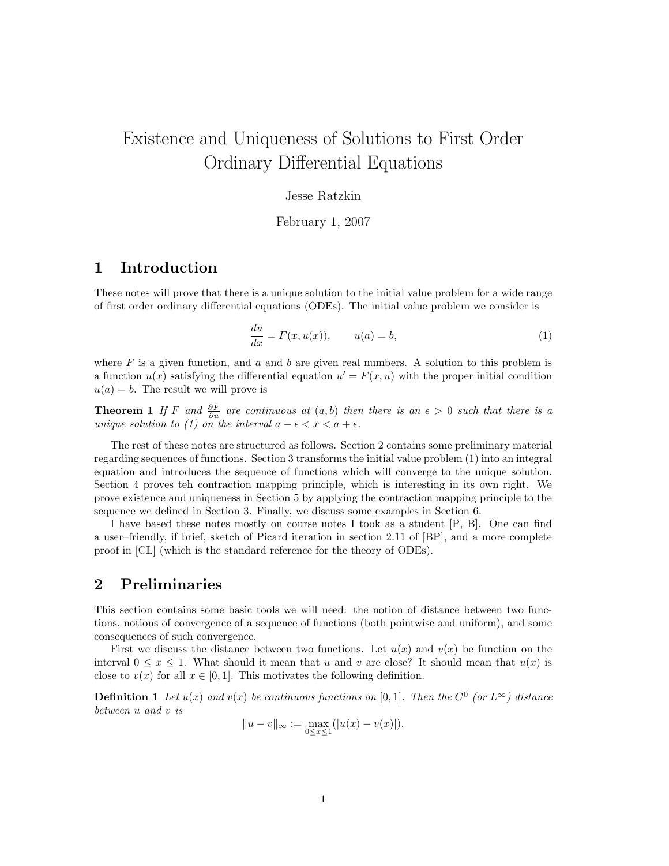# Existence and Uniqueness of Solutions to First Order Ordinary Differential Equations

#### Jesse Ratzkin

February 1, 2007

### 1 Introduction

These notes will prove that there is a unique solution to the initial value problem for a wide range of first order ordinary differential equations (ODEs). The initial value problem we consider is

$$
\frac{du}{dx} = F(x, u(x)), \qquad u(a) = b,\tag{1}
$$

where  $F$  is a given function, and  $a$  and  $b$  are given real numbers. A solution to this problem is a function  $u(x)$  satisfying the differential equation  $u' = F(x, u)$  with the proper initial condition  $u(a) = b$ . The result we will prove is

**Theorem 1** If F and  $\frac{\partial F}{\partial u}$  are continuous at  $(a, b)$  then there is an  $\epsilon > 0$  such that there is a unique solution to (1) on the interval  $a - \epsilon < x < a + \epsilon$ .

The rest of these notes are structured as follows. Section 2 contains some preliminary material regarding sequences of functions. Section 3 transforms the initial value problem (1) into an integral equation and introduces the sequence of functions which will converge to the unique solution. Section 4 proves teh contraction mapping principle, which is interesting in its own right. We prove existence and uniqueness in Section 5 by applying the contraction mapping principle to the sequence we defined in Section 3. Finally, we discuss some examples in Section 6.

I have based these notes mostly on course notes I took as a student [P, B]. One can find a user–friendly, if brief, sketch of Picard iteration in section 2.11 of [BP], and a more complete proof in [CL] (which is the standard reference for the theory of ODEs).

### 2 Preliminaries

This section contains some basic tools we will need: the notion of distance between two functions, notions of convergence of a sequence of functions (both pointwise and uniform), and some consequences of such convergence.

First we discuss the distance between two functions. Let  $u(x)$  and  $v(x)$  be function on the interval  $0 \le x \le 1$ . What should it mean that u and v are close? It should mean that  $u(x)$  is close to  $v(x)$  for all  $x \in [0, 1]$ . This motivates the following definition.

**Definition 1** Let  $u(x)$  and  $v(x)$  be continuous functions on [0,1]. Then the  $C^0$  (or  $L^{\infty}$ ) distance between u and v is

$$
||u - v||_{\infty} := \max_{0 \le x \le 1} (|u(x) - v(x)|).
$$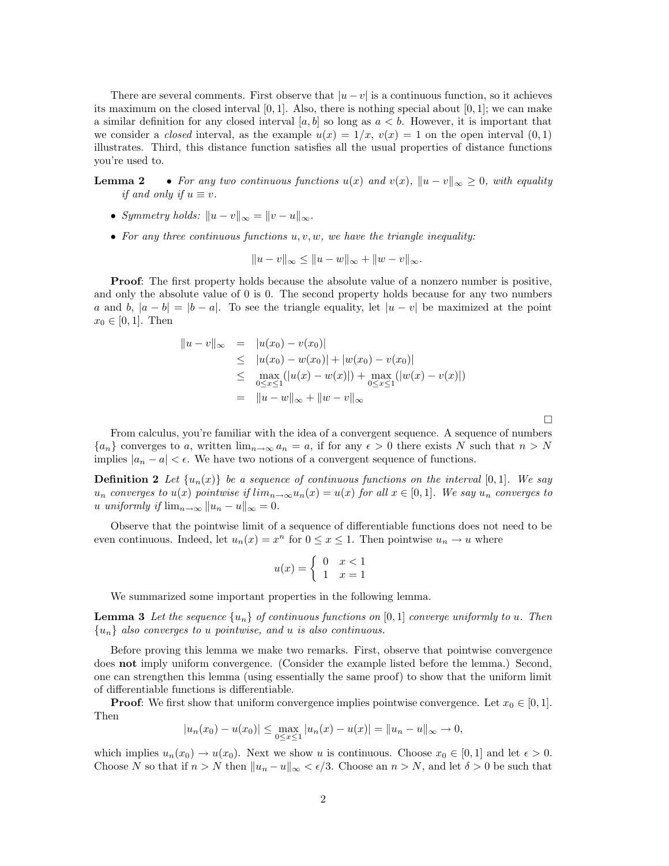There are several comments. First observe that  $|u - v|$  is a continuous function, so it achieves its maximum on the closed interval  $[0, 1]$ . Also, there is nothing special about  $[0, 1]$ ; we can make a similar definition for any closed interval [a, b] so long as  $a < b$ . However, it is important that we consider a *closed* interval, as the example  $u(x) = 1/x$ ,  $v(x) = 1$  on the open interval  $(0, 1)$ illustrates. Third, this distance function satisfies all the usual properties of distance functions you're used to.

**Lemma 2** • For any two continuous functions  $u(x)$  and  $v(x)$ ,  $||u - v||_{\infty} \ge 0$ , with equality if and only if  $u \equiv v$ .

- Symmetry holds:  $||u v||_{\infty} = ||v u||_{\infty}$ .
- For any three continuous functions  $u, v, w$ , we have the triangle inequality:

$$
||u - v||_{\infty} \le ||u - w||_{\infty} + ||w - v||_{\infty}.
$$

Proof: The first property holds because the absolute value of a nonzero number is positive, and only the absolute value of 0 is 0. The second property holds because for any two numbers a and b,  $|a - b| = |b - a|$ . To see the triangle equality, let  $|u - v|$  be maximized at the point  $x_0 \in [0, 1]$ . Then

$$
||u - v||_{\infty} = |u(x_0) - v(x_0)|
$$
  
\n
$$
\leq |u(x_0) - w(x_0)| + |w(x_0) - v(x_0)|
$$
  
\n
$$
\leq \max_{0 \leq x \leq 1} (|u(x) - w(x)|) + \max_{0 \leq x \leq 1} (|w(x) - v(x)|)
$$
  
\n
$$
= ||u - w||_{\infty} + ||w - v||_{\infty}
$$

 $\Box$ 

From calculus, you're familiar with the idea of a convergent sequence. A sequence of numbers  ${a_n}$  converges to a, written  $\lim_{n\to\infty} a_n = a$ , if for any  $\epsilon > 0$  there exists N such that  $n > N$ implies  $|a_n - a| < \epsilon$ . We have two notions of a convergent sequence of functions.

**Definition 2** Let  $\{u_n(x)\}\$ be a sequence of continuous functions on the interval [0,1]. We say  $u_n$  converges to  $u(x)$  pointwise if  $\lim_{n\to\infty}u_n(x)=u(x)$  for all  $x\in[0,1]$ . We say  $u_n$  converges to u uniformly if  $\lim_{n\to\infty} ||u_n - u||_{\infty} = 0.$ 

Observe that the pointwise limit of a sequence of differentiable functions does not need to be even continuous. Indeed, let  $u_n(x) = x^n$  for  $0 \le x \le 1$ . Then pointwise  $u_n \to u$  where

$$
u(x) = \begin{cases} 0 & x < 1 \\ 1 & x = 1 \end{cases}
$$

We summarized some important properties in the following lemma.

**Lemma 3** Let the sequence  $\{u_n\}$  of continuous functions on  $[0,1]$  converge uniformly to u. Then  ${u_n}$  also converges to u pointwise, and u is also continuous.

Before proving this lemma we make two remarks. First, observe that pointwise convergence does not imply uniform convergence. (Consider the example listed before the lemma.) Second, one can strengthen this lemma (using essentially the same proof) to show that the uniform limit of differentiable functions is differentiable.

**Proof:** We first show that uniform convergence implies pointwise convergence. Let  $x_0 \in [0,1]$ . Then

$$
|u_n(x_0) - u(x_0)| \le \max_{0 \le x \le 1} |u_n(x) - u(x)| = ||u_n - u||_{\infty} \to 0,
$$

which implies  $u_n(x_0) \to u(x_0)$ . Next we show u is continuous. Choose  $x_0 \in [0,1]$  and let  $\epsilon > 0$ . Choose N so that if  $n > N$  then  $||u_n - u||_{\infty} < \epsilon/3$ . Choose an  $n > N$ , and let  $\delta > 0$  be such that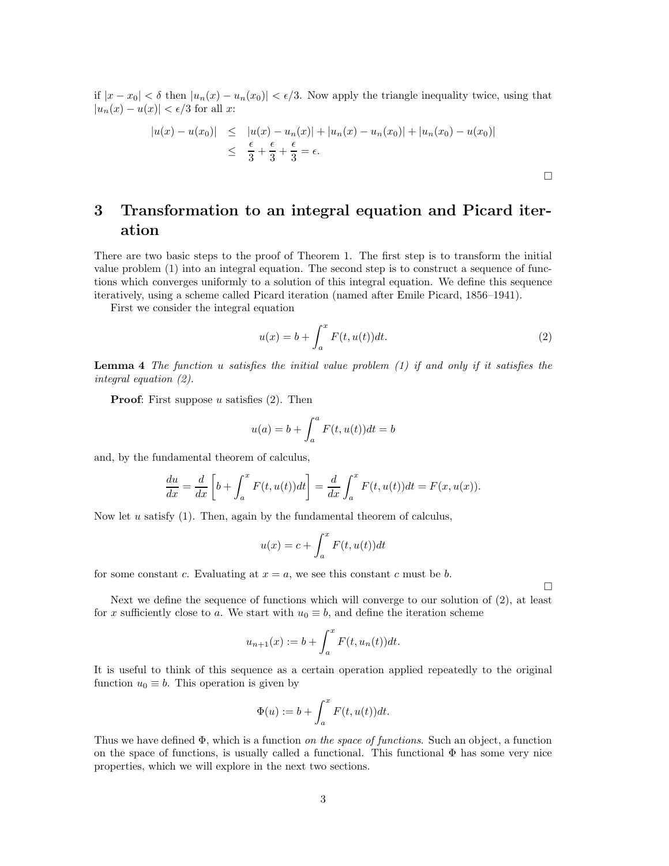if  $|x-x_0| < \delta$  then  $|u_n(x) - u_n(x_0)| < \epsilon/3$ . Now apply the triangle inequality twice, using that  $|u_n(x) - u(x)| < \epsilon/3$  for all x:

$$
|u(x) - u(x_0)| \le |u(x) - u_n(x)| + |u_n(x) - u_n(x_0)| + |u_n(x_0) - u(x_0)|
$$
  

$$
\le \frac{\epsilon}{3} + \frac{\epsilon}{3} + \frac{\epsilon}{3} = \epsilon.
$$

## 3 Transformation to an integral equation and Picard iteration

There are two basic steps to the proof of Theorem 1. The first step is to transform the initial value problem (1) into an integral equation. The second step is to construct a sequence of functions which converges uniformly to a solution of this integral equation. We define this sequence iteratively, using a scheme called Picard iteration (named after Emile Picard, 1856–1941).

First we consider the integral equation

$$
u(x) = b + \int_{a}^{x} F(t, u(t))dt.
$$
 (2)

**Lemma 4** The function u satisfies the initial value problem  $(1)$  if and only if it satisfies the integral equation (2).

**Proof:** First suppose u satisfies  $(2)$ . Then

$$
u(a) = b + \int_a^a F(t, u(t))dt = b
$$

and, by the fundamental theorem of calculus,

$$
\frac{du}{dx} = \frac{d}{dx} \left[ b + \int_a^x F(t, u(t)) dt \right] = \frac{d}{dx} \int_a^x F(t, u(t)) dt = F(x, u(x)).
$$

Now let  $u$  satisfy (1). Then, again by the fundamental theorem of calculus,

$$
u(x) = c + \int_{a}^{x} F(t, u(t))dt
$$

for some constant c. Evaluating at  $x = a$ , we see this constant c must be b.

Next we define the sequence of functions which will converge to our solution of (2), at least for x sufficiently close to a. We start with  $u_0 \equiv b$ , and define the iteration scheme

$$
u_{n+1}(x) := b + \int_{a}^{x} F(t, u_n(t)) dt.
$$

It is useful to think of this sequence as a certain operation applied repeatedly to the original function  $u_0 \equiv b$ . This operation is given by

$$
\Phi(u) := b + \int_a^x F(t, u(t)) dt.
$$

Thus we have defined  $\Phi$ , which is a function on the space of functions. Such an object, a function on the space of functions, is usually called a functional. This functional  $\Phi$  has some very nice properties, which we will explore in the next two sections.

 $\Box$ 

 $\Box$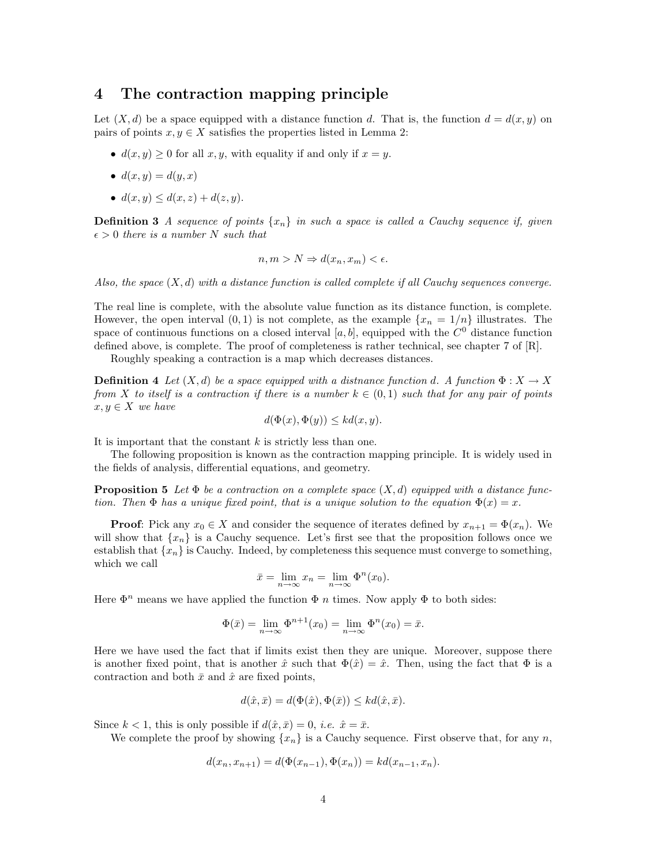### 4 The contraction mapping principle

Let  $(X, d)$  be a space equipped with a distance function d. That is, the function  $d = d(x, y)$  on pairs of points  $x, y \in X$  satisfies the properties listed in Lemma 2:

- $d(x, y) \geq 0$  for all  $x, y$ , with equality if and only if  $x = y$ .
- $d(x, y) = d(y, x)$
- $d(x, y) \leq d(x, z) + d(z, y)$ .

**Definition 3** A sequence of points  $\{x_n\}$  in such a space is called a Cauchy sequence if, given  $\epsilon > 0$  there is a number N such that

$$
n, m > N \Rightarrow d(x_n, x_m) < \epsilon.
$$

Also, the space  $(X, d)$  with a distance function is called complete if all Cauchy sequences converge.

The real line is complete, with the absolute value function as its distance function, is complete. However, the open interval  $(0, 1)$  is not complete, as the example  $\{x_n = 1/n\}$  illustrates. The space of continuous functions on a closed interval  $[a, b]$ , equipped with the  $C<sup>0</sup>$  distance function defined above, is complete. The proof of completeness is rather technical, see chapter 7 of [R].

Roughly speaking a contraction is a map which decreases distances.

**Definition 4** Let  $(X, d)$  be a space equipped with a distnance function d. A function  $\Phi: X \to X$ from X to itself is a contraction if there is a number  $k \in (0,1)$  such that for any pair of points  $x, y \in X$  we have

$$
d(\Phi(x), \Phi(y)) \leq kd(x, y).
$$

It is important that the constant  $k$  is strictly less than one.

The following proposition is known as the contraction mapping principle. It is widely used in the fields of analysis, differential equations, and geometry.

**Proposition 5** Let  $\Phi$  be a contraction on a complete space  $(X, d)$  equipped with a distance function. Then  $\Phi$  has a unique fixed point, that is a unique solution to the equation  $\Phi(x) = x$ .

**Proof:** Pick any  $x_0 \in X$  and consider the sequence of iterates defined by  $x_{n+1} = \Phi(x_n)$ . We will show that  $\{x_n\}$  is a Cauchy sequence. Let's first see that the proposition follows once we establish that  ${x_n}$  is Cauchy. Indeed, by completeness this sequence must converge to something, which we call

$$
\bar{x} = \lim_{n \to \infty} x_n = \lim_{n \to \infty} \Phi^n(x_0).
$$

Here  $\Phi^n$  means we have applied the function  $\Phi$  *n* times. Now apply  $\Phi$  to both sides:

$$
\Phi(\bar{x}) = \lim_{n \to \infty} \Phi^{n+1}(x_0) = \lim_{n \to \infty} \Phi^n(x_0) = \bar{x}.
$$

Here we have used the fact that if limits exist then they are unique. Moreover, suppose there is another fixed point, that is another  $\hat{x}$  such that  $\Phi(\hat{x}) = \hat{x}$ . Then, using the fact that  $\Phi$  is a contraction and both  $\bar{x}$  and  $\hat{x}$  are fixed points,

$$
d(\hat{x}, \bar{x}) = d(\Phi(\hat{x}), \Phi(\bar{x})) \leq kd(\hat{x}, \bar{x}).
$$

Since  $k < 1$ , this is only possible if  $d(\hat{x}, \bar{x}) = 0$ , *i.e.*  $\hat{x} = \bar{x}$ .

We complete the proof by showing  ${x_n}$  is a Cauchy sequence. First observe that, for any n,

$$
d(x_n, x_{n+1}) = d(\Phi(x_{n-1}), \Phi(x_n)) = kd(x_{n-1}, x_n).
$$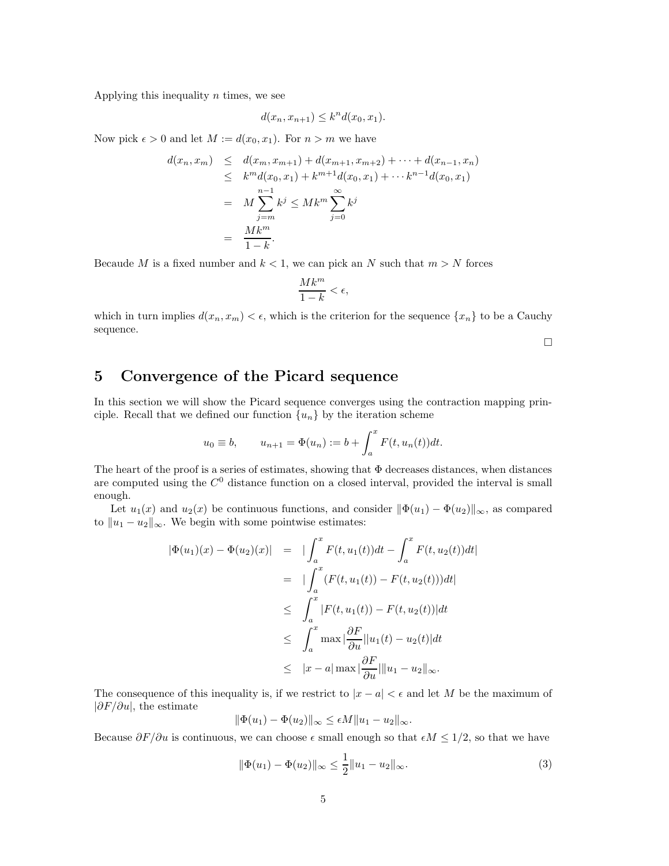Applying this inequality  $n$  times, we see

$$
d(x_n, x_{n+1}) \leq k^n d(x_0, x_1).
$$

Now pick  $\epsilon > 0$  and let  $M := d(x_0, x_1)$ . For  $n > m$  we have

$$
d(x_n, x_m) \leq d(x_m, x_{m+1}) + d(x_{m+1}, x_{m+2}) + \dots + d(x_{n-1}, x_n)
$$
  
\n
$$
\leq k^m d(x_0, x_1) + k^{m+1} d(x_0, x_1) + \dots + k^{n-1} d(x_0, x_1)
$$
  
\n
$$
= M \sum_{j=m}^{n-1} k^j \leq Mk^m \sum_{j=0}^{\infty} k^j
$$
  
\n
$$
= \frac{Mk^m}{1-k}.
$$

Becaude M is a fixed number and  $k < 1$ , we can pick an N such that  $m > N$  forces

$$
\frac{Mk^m}{1-k} < \epsilon,
$$

which in turn implies  $d(x_n, x_m) < \epsilon$ , which is the criterion for the sequence  $\{x_n\}$  to be a Cauchy sequence.

 $\Box$ 

### 5 Convergence of the Picard sequence

In this section we will show the Picard sequence converges using the contraction mapping principle. Recall that we defined our function  ${u_n}$  by the iteration scheme

$$
u_0 \equiv b,
$$
  $u_{n+1} = \Phi(u_n) := b + \int_a^x F(t, u_n(t)) dt.$ 

The heart of the proof is a series of estimates, showing that  $\Phi$  decreases distances, when distances are computed using the  $C<sup>0</sup>$  distance function on a closed interval, provided the interval is small enough.

Let  $u_1(x)$  and  $u_2(x)$  be continuous functions, and consider  $\|\Phi(u_1) - \Phi(u_2)\|_{\infty}$ , as compared to  $||u_1 - u_2||_{\infty}$ . We begin with some pointwise estimates:

$$
|\Phi(u_1)(x) - \Phi(u_2)(x)| = |\int_a^x F(t, u_1(t))dt - \int_a^x F(t, u_2(t))dt|
$$
  
\n
$$
= |\int_a^x (F(t, u_1(t)) - F(t, u_2(t)))dt|
$$
  
\n
$$
\leq \int_a^x |F(t, u_1(t)) - F(t, u_2(t))|dt
$$
  
\n
$$
\leq \int_a^x \max |\frac{\partial F}{\partial u}| |u_1(t) - u_2(t)| dt
$$
  
\n
$$
\leq |x - a| \max |\frac{\partial F}{\partial u}| ||u_1 - u_2||_{\infty}.
$$

The consequence of this inequality is, if we restrict to  $|x - a| < \epsilon$  and let M be the maximum of  $|\partial F/\partial u|$ , the estimate

$$
\|\Phi(u_1)-\Phi(u_2)\|_{\infty}\leq \epsilon M \|u_1-u_2\|_{\infty}.
$$

Because  $\partial F/\partial u$  is continuous, we can choose  $\epsilon$  small enough so that  $\epsilon M \leq 1/2$ , so that we have

$$
\|\Phi(u_1) - \Phi(u_2)\|_{\infty} \le \frac{1}{2} \|u_1 - u_2\|_{\infty}.
$$
\n(3)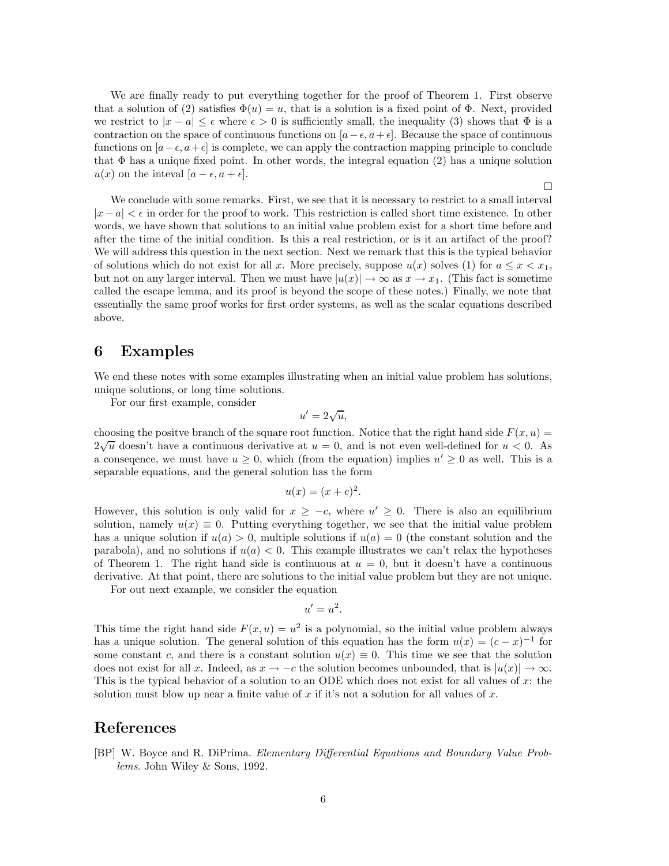We are finally ready to put everything together for the proof of Theorem 1. First observe that a solution of (2) satisfies  $\Phi(u) = u$ , that is a solution is a fixed point of  $\Phi$ . Next, provided we restrict to  $|x - a| \leq \epsilon$  where  $\epsilon > 0$  is sufficiently small, the inequality (3) shows that  $\Phi$  is a contraction on the space of continuous functions on  $[a-\epsilon, a+\epsilon]$ . Because the space of continuous functions on  $[a-\epsilon, a+\epsilon]$  is complete, we can apply the contraction mapping principle to conclude that  $\Phi$  has a unique fixed point. In other words, the integral equation (2) has a unique solution  $u(x)$  on the inteval  $[a - \epsilon, a + \epsilon]$ .

 $\Box$ 

We conclude with some remarks. First, we see that it is necessary to restrict to a small interval  $|x - a| < \epsilon$  in order for the proof to work. This restriction is called short time existence. In other words, we have shown that solutions to an initial value problem exist for a short time before and after the time of the initial condition. Is this a real restriction, or is it an artifact of the proof? We will address this question in the next section. Next we remark that this is the typical behavior of solutions which do not exist for all x. More precisely, suppose  $u(x)$  solves (1) for  $a \leq x < x_1$ , but not on any larger interval. Then we must have  $|u(x)| \to \infty$  as  $x \to x_1$ . (This fact is sometime called the escape lemma, and its proof is beyond the scope of these notes.) Finally, we note that essentially the same proof works for first order systems, as well as the scalar equations described above.

#### 6 Examples

We end these notes with some examples illustrating when an initial value problem has solutions, unique solutions, or long time solutions.

For our first example, consider

$$
u'=2\sqrt{u},
$$

choosing the positve branch of the square root function. Notice that the right hand side  $F(x, u) =$  $2\sqrt{u}$  doesn't have a continuous derivative at  $u = 0$ , and is not even well-defined for  $u < 0$ . As a consequence, we must have  $u \geq 0$ , which (from the equation) implies  $u' \geq 0$  as well. This is a separable equations, and the general solution has the form

$$
u(x) = (x + c)^2.
$$

However, this solution is only valid for  $x \geq -c$ , where  $u' \geq 0$ . There is also an equilibrium solution, namely  $u(x) \equiv 0$ . Putting everything together, we see that the initial value problem has a unique solution if  $u(a) > 0$ , multiple solutions if  $u(a) = 0$  (the constant solution and the parabola), and no solutions if  $u(a) < 0$ . This example illustrates we can't relax the hypotheses of Theorem 1. The right hand side is continuous at  $u = 0$ , but it doesn't have a continuous derivative. At that point, there are solutions to the initial value problem but they are not unique.

For out next example, we consider the equation

$$
u'=u^2.
$$

This time the right hand side  $F(x, u) = u^2$  is a polynomial, so the initial value problem always has a unique solution. The general solution of this equation has the form  $u(x) = (c - x)^{-1}$  for some constant c, and there is a constant solution  $u(x) \equiv 0$ . This time we see that the solution does not exist for all x. Indeed, as  $x \to -c$  the solution becomes unbounded, that is  $|u(x)| \to \infty$ . This is the typical behavior of a solution to an ODE which does not exist for all values of  $x$ : the solution must blow up near a finite value of x if it's not a solution for all values of x.

### References

[BP] W. Boyce and R. DiPrima. Elementary Differential Equations and Boundary Value Problems. John Wiley & Sons, 1992.